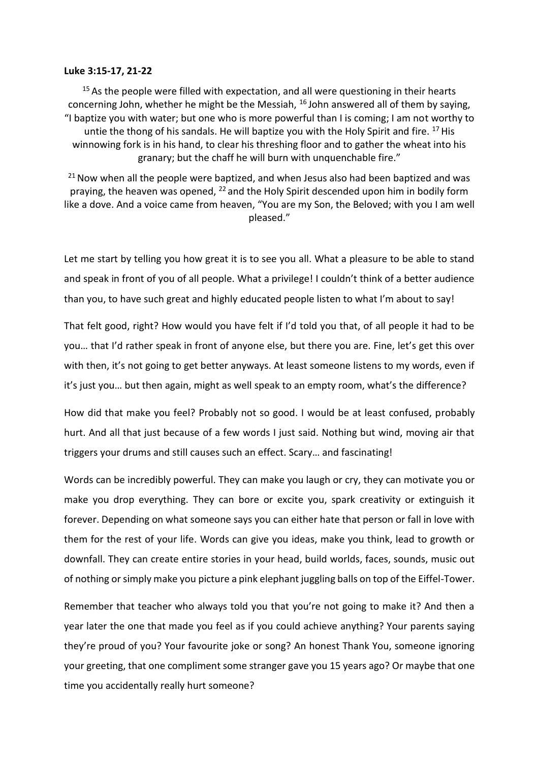## **Luke 3:15-17, 21-22**

 $15$  As the people were filled with expectation, and all were questioning in their hearts concerning John, whether he might be the Messiah,  $^{16}$  John answered all of them by saying, "I baptize you with water; but one who is more powerful than I is coming; I am not worthy to untie the thong of his sandals. He will baptize you with the Holy Spirit and fire.  $^{17}$  His winnowing fork is in his hand, to clear his threshing floor and to gather the wheat into his granary; but the chaff he will burn with unquenchable fire."

 $21$  Now when all the people were baptized, and when Jesus also had been baptized and was praying, the heaven was opened, <sup>22</sup> and the Holy Spirit descended upon him in bodily form like a dove. And a voice came from heaven, "You are my Son, the Beloved; with you I am well pleased."

Let me start by telling you how great it is to see you all. What a pleasure to be able to stand and speak in front of you of all people. What a privilege! I couldn't think of a better audience than you, to have such great and highly educated people listen to what I'm about to say!

That felt good, right? How would you have felt if I'd told you that, of all people it had to be you… that I'd rather speak in front of anyone else, but there you are. Fine, let's get this over with then, it's not going to get better anyways. At least someone listens to my words, even if it's just you… but then again, might as well speak to an empty room, what's the difference?

How did that make you feel? Probably not so good. I would be at least confused, probably hurt. And all that just because of a few words I just said. Nothing but wind, moving air that triggers your drums and still causes such an effect. Scary… and fascinating!

Words can be incredibly powerful. They can make you laugh or cry, they can motivate you or make you drop everything. They can bore or excite you, spark creativity or extinguish it forever. Depending on what someone says you can either hate that person or fall in love with them for the rest of your life. Words can give you ideas, make you think, lead to growth or downfall. They can create entire stories in your head, build worlds, faces, sounds, music out of nothing or simply make you picture a pink elephant juggling balls on top of the Eiffel-Tower.

Remember that teacher who always told you that you're not going to make it? And then a year later the one that made you feel as if you could achieve anything? Your parents saying they're proud of you? Your favourite joke or song? An honest Thank You, someone ignoring your greeting, that one compliment some stranger gave you 15 years ago? Or maybe that one time you accidentally really hurt someone?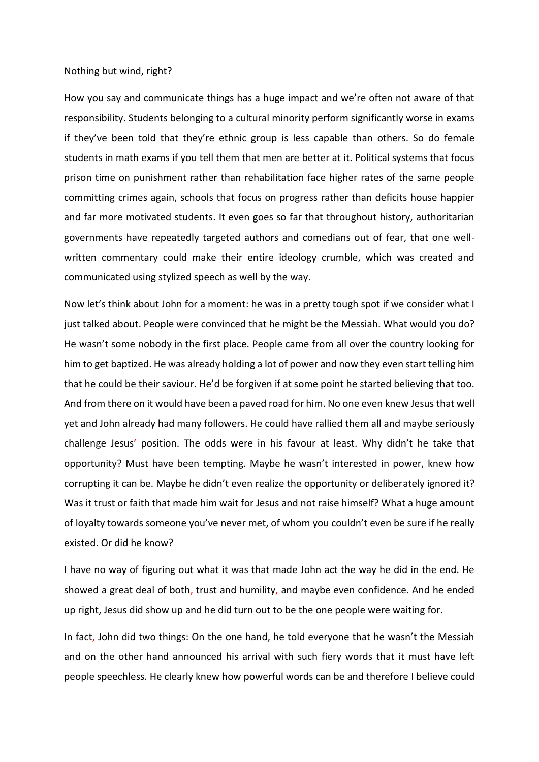## Nothing but wind, right?

How you say and communicate things has a huge impact and we're often not aware of that responsibility. Students belonging to a cultural minority perform significantly worse in exams if they've been told that they're ethnic group is less capable than others. So do female students in math exams if you tell them that men are better at it. Political systems that focus prison time on punishment rather than rehabilitation face higher rates of the same people committing crimes again, schools that focus on progress rather than deficits house happier and far more motivated students. It even goes so far that throughout history, authoritarian governments have repeatedly targeted authors and comedians out of fear, that one wellwritten commentary could make their entire ideology crumble, which was created and communicated using stylized speech as well by the way.

Now let's think about John for a moment: he was in a pretty tough spot if we consider what I just talked about. People were convinced that he might be the Messiah. What would you do? He wasn't some nobody in the first place. People came from all over the country looking for him to get baptized. He was already holding a lot of power and now they even start telling him that he could be their saviour. He'd be forgiven if at some point he started believing that too. And from there on it would have been a paved road for him. No one even knew Jesus that well yet and John already had many followers. He could have rallied them all and maybe seriously challenge Jesus' position. The odds were in his favour at least. Why didn't he take that opportunity? Must have been tempting. Maybe he wasn't interested in power, knew how corrupting it can be. Maybe he didn't even realize the opportunity or deliberately ignored it? Was it trust or faith that made him wait for Jesus and not raise himself? What a huge amount of loyalty towards someone you've never met, of whom you couldn't even be sure if he really existed. Or did he know?

I have no way of figuring out what it was that made John act the way he did in the end. He showed a great deal of both, trust and humility, and maybe even confidence. And he ended up right, Jesus did show up and he did turn out to be the one people were waiting for.

In fact, John did two things: On the one hand, he told everyone that he wasn't the Messiah and on the other hand announced his arrival with such fiery words that it must have left people speechless. He clearly knew how powerful words can be and therefore I believe could